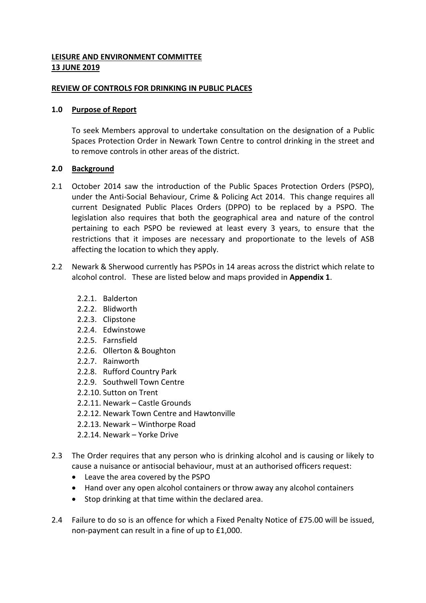# **LEISURE AND ENVIRONMENT COMMITTEE 13 JUNE 2019**

#### **REVIEW OF CONTROLS FOR DRINKING IN PUBLIC PLACES**

### **1.0 Purpose of Report**

To seek Members approval to undertake consultation on the designation of a Public Spaces Protection Order in Newark Town Centre to control drinking in the street and to remove controls in other areas of the district.

### **2.0 Background**

- 2.1 October 2014 saw the introduction of the Public Spaces Protection Orders (PSPO), under the Anti-Social Behaviour, Crime & Policing Act 2014. This change requires all current Designated Public Places Orders (DPPO) to be replaced by a PSPO. The legislation also requires that both the geographical area and nature of the control pertaining to each PSPO be reviewed at least every 3 years, to ensure that the restrictions that it imposes are necessary and proportionate to the levels of ASB affecting the location to which they apply.
- 2.2 Newark & Sherwood currently has PSPOs in 14 areas across the district which relate to alcohol control. These are listed below and maps provided in **Appendix 1**.
	- 2.2.1. Balderton
	- 2.2.2. Blidworth
	- 2.2.3. Clipstone
	- 2.2.4. Edwinstowe
	- 2.2.5. Farnsfield
	- 2.2.6. Ollerton & Boughton
	- 2.2.7. Rainworth
	- 2.2.8. Rufford Country Park
	- 2.2.9. Southwell Town Centre
	- 2.2.10. Sutton on Trent
	- 2.2.11. Newark Castle Grounds
	- 2.2.12. Newark Town Centre and Hawtonville
	- 2.2.13. Newark Winthorpe Road
	- 2.2.14. Newark Yorke Drive
- 2.3 The Order requires that any person who is drinking alcohol and is causing or likely to cause a nuisance or antisocial behaviour, must at an authorised officers request:
	- Leave the area covered by the PSPO
	- Hand over any open alcohol containers or throw away any alcohol containers
	- Stop drinking at that time within the declared area.
- 2.4 Failure to do so is an offence for which a Fixed Penalty Notice of £75.00 will be issued, non-payment can result in a fine of up to £1,000.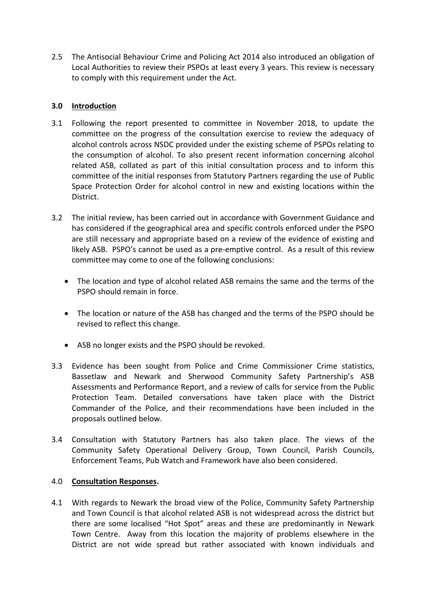2.5 The Antisocial Behaviour Crime and Policing Act 2014 also introduced an obligation of Local Authorities to review their PSPOs at least every 3 years. This review is necessary to comply with this requirement under the Act.

# **3.0 Introduction**

- 3.1 Following the report presented to committee in November 2018, to update the committee on the progress of the consultation exercise to review the adequacy of alcohol controls across NSDC provided under the existing scheme of PSPOs relating to the consumption of alcohol. To also present recent information concerning alcohol related ASB, collated as part of this initial consultation process and to inform this committee of the initial responses from Statutory Partners regarding the use of Public Space Protection Order for alcohol control in new and existing locations within the District.
- 3.2 The initial review, has been carried out in accordance with Government Guidance and has considered if the geographical area and specific controls enforced under the PSPO are still necessary and appropriate based on a review of the evidence of existing and likely ASB. PSPO's cannot be used as a pre-emptive control. As a result of this review committee may come to one of the following conclusions:
	- The location and type of alcohol related ASB remains the same and the terms of the PSPO should remain in force.
	- The location or nature of the ASB has changed and the terms of the PSPO should be revised to reflect this change.
	- ASB no longer exists and the PSPO should be revoked.
- 3.3 Evidence has been sought from Police and Crime Commissioner Crime statistics, Bassetlaw and Newark and Sherwood Community Safety Partnership's ASB Assessments and Performance Report, and a review of calls for service from the Public Protection Team. Detailed conversations have taken place with the District Commander of the Police, and their recommendations have been included in the proposals outlined below.
- 3.4 Consultation with Statutory Partners has also taken place. The views of the Community Safety Operational Delivery Group, Town Council, Parish Councils, Enforcement Teams, Pub Watch and Framework have also been considered.

# 4.0 **Consultation Responses.**

4.1 With regards to Newark the broad view of the Police, Community Safety Partnership and Town Council is that alcohol related ASB is not widespread across the district but there are some localised "Hot Spot" areas and these are predominantly in Newark Town Centre. Away from this location the majority of problems elsewhere in the District are not wide spread but rather associated with known individuals and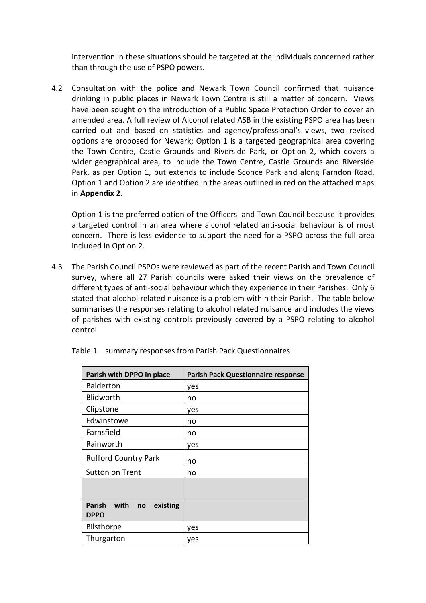intervention in these situations should be targeted at the individuals concerned rather than through the use of PSPO powers.

4.2 Consultation with the police and Newark Town Council confirmed that nuisance drinking in public places in Newark Town Centre is still a matter of concern. Views have been sought on the introduction of a Public Space Protection Order to cover an amended area. A full review of Alcohol related ASB in the existing PSPO area has been carried out and based on statistics and agency/professional's views, two revised options are proposed for Newark; Option 1 is a targeted geographical area covering the Town Centre, Castle Grounds and Riverside Park, or Option 2, which covers a wider geographical area, to include the Town Centre, Castle Grounds and Riverside Park, as per Option 1, but extends to include Sconce Park and along Farndon Road. Option 1 and Option 2 are identified in the areas outlined in red on the attached maps in **Appendix 2**.

Option 1 is the preferred option of the Officers and Town Council because it provides a targeted control in an area where alcohol related anti-social behaviour is of most concern. There is less evidence to support the need for a PSPO across the full area included in Option 2.

4.3 The Parish Council PSPOs were reviewed as part of the recent Parish and Town Council survey, where all 27 Parish councils were asked their views on the prevalence of different types of anti-social behaviour which they experience in their Parishes. Only 6 stated that alcohol related nuisance is a problem within their Parish. The table below summarises the responses relating to alcohol related nuisance and includes the views of parishes with existing controls previously covered by a PSPO relating to alcohol control.

| Parish with DPPO in place                              | <b>Parish Pack Questionnaire response</b> |
|--------------------------------------------------------|-------------------------------------------|
| <b>Balderton</b>                                       | yes                                       |
| <b>Blidworth</b>                                       | no                                        |
| Clipstone                                              | yes                                       |
| Edwinstowe                                             | no                                        |
| Farnsfield                                             | no                                        |
| Rainworth                                              | yes                                       |
| <b>Rufford Country Park</b>                            | no                                        |
| Sutton on Trent                                        | no                                        |
|                                                        |                                           |
| <b>Parish</b><br>with<br>existing<br>no<br><b>DPPO</b> |                                           |
| Bilsthorpe                                             | yes                                       |
| Thurgarton                                             | yes                                       |

Table 1 – summary responses from Parish Pack Questionnaires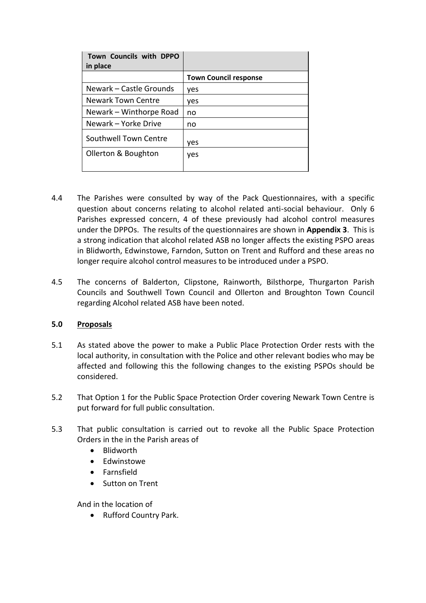| <b>Town Council response</b> |
|------------------------------|
| yes                          |
| yes                          |
| no                           |
| no                           |
| yes                          |
| yes                          |
|                              |

- 4.4 The Parishes were consulted by way of the Pack Questionnaires, with a specific question about concerns relating to alcohol related anti-social behaviour. Only 6 Parishes expressed concern, 4 of these previously had alcohol control measures under the DPPOs. The results of the questionnaires are shown in **Appendix 3**. This is a strong indication that alcohol related ASB no longer affects the existing PSPO areas in Blidworth, Edwinstowe, Farndon, Sutton on Trent and Rufford and these areas no longer require alcohol control measures to be introduced under a PSPO.
- 4.5 The concerns of Balderton, Clipstone, Rainworth, Bilsthorpe, Thurgarton Parish Councils and Southwell Town Council and Ollerton and Broughton Town Council regarding Alcohol related ASB have been noted.

# **5.0 Proposals**

- 5.1 As stated above the power to make a Public Place Protection Order rests with the local authority, in consultation with the Police and other relevant bodies who may be affected and following this the following changes to the existing PSPOs should be considered.
- 5.2 That Option 1 for the Public Space Protection Order covering Newark Town Centre is put forward for full public consultation.
- 5.3 That public consultation is carried out to revoke all the Public Space Protection Orders in the in the Parish areas of
	- Blidworth
	- **•** Edwinstowe
	- Farnsfield
	- **Sutton on Trent**

And in the location of

• Rufford Country Park.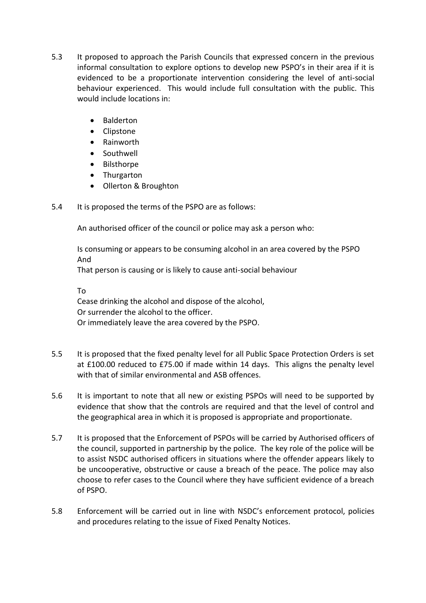- 5.3 It proposed to approach the Parish Councils that expressed concern in the previous informal consultation to explore options to develop new PSPO's in their area if it is evidenced to be a proportionate intervention considering the level of anti-social behaviour experienced. This would include full consultation with the public. This would include locations in:
	- Balderton
	- Clipstone
	- Rainworth
	- Southwell
	- Bilsthorpe
	- Thurgarton
	- Ollerton & Broughton
- 5.4 It is proposed the terms of the PSPO are as follows:

An authorised officer of the council or police may ask a person who:

Is consuming or appears to be consuming alcohol in an area covered by the PSPO And That person is causing or is likely to cause anti-social behaviour

To

Cease drinking the alcohol and dispose of the alcohol, Or surrender the alcohol to the officer. Or immediately leave the area covered by the PSPO.

- 5.5 It is proposed that the fixed penalty level for all Public Space Protection Orders is set at £100.00 reduced to £75.00 if made within 14 days. This aligns the penalty level with that of similar environmental and ASB offences.
- 5.6 It is important to note that all new or existing PSPOs will need to be supported by evidence that show that the controls are required and that the level of control and the geographical area in which it is proposed is appropriate and proportionate.
- 5.7 It is proposed that the Enforcement of PSPOs will be carried by Authorised officers of the council, supported in partnership by the police. The key role of the police will be to assist NSDC authorised officers in situations where the offender appears likely to be uncooperative, obstructive or cause a breach of the peace. The police may also choose to refer cases to the Council where they have sufficient evidence of a breach of PSPO.
- 5.8 Enforcement will be carried out in line with NSDC's enforcement protocol, policies and procedures relating to the issue of Fixed Penalty Notices.